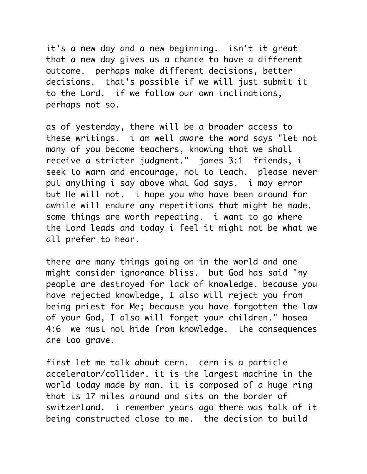it's a new day and a new beginning. isn't it great that a new day gives us a chance to have a different outcome. perhaps make different decisions, better decisions. that's possible if we will just submit it to the Lord. if we follow our own inclinations, perhaps not so.

as of yesterday, there will be a broader access to these writings. i am well aware the word says "let not many of you become teachers, knowing that we shall receive a stricter judgment." james 3:1 friends, i seek to warn and encourage, not to teach. please never put anything i say above what God says. i may error but He will not. i hope you who have been around for awhile will endure any repetitions that might be made. some things are worth repeating. i want to go where the Lord leads and today i feel it might not be what we all prefer to hear.

there are many things going on in the world and one might consider ignorance bliss. but God has said "my people are destroyed for lack of knowledge. because you have rejected knowledge, I also will reject you from being priest for Me; because you have forgotten the law of your God, I also will forget your children." hosea 4:6 we must not hide from knowledge. the consequences are too grave.

first let me talk about cern. cern is a particle accelerator/collider. it is the largest machine in the world today made by man. it is composed of a huge ring that is 17 miles around and sits on the border of switzerland. i remember years ago there was talk of it being constructed close to me. the decision to build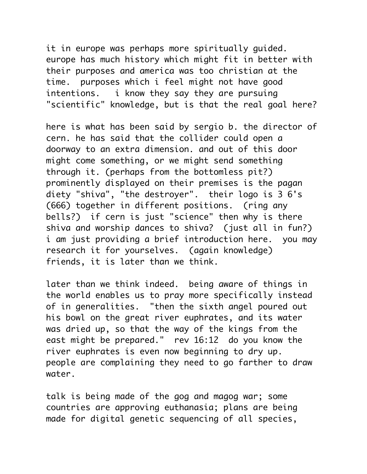it in europe was perhaps more spiritually guided. europe has much history which might fit in better with their purposes and america was too christian at the time. purposes which i feel might not have good intentions. i know they say they are pursuing "scientific" knowledge, but is that the real goal here?

here is what has been said by sergio b. the director of cern. he has said that the collider could open a doorway to an extra dimension. and out of this door might come something, or we might send something through it. (perhaps from the bottomless pit?) prominently displayed on their premises is the pagan diety "shiva", "the destroyer". their logo is 3 6's (666) together in different positions. (ring any bells?) if cern is just "science" then why is there shiva and worship dances to shiva? (just all in fun?) i am just providing a brief introduction here. you may research it for yourselves. (again knowledge) friends, it is later than we think.

later than we think indeed. being aware of things in the world enables us to pray more specifically instead of in generalities. "then the sixth angel poured out his bowl on the great river euphrates, and its water was dried up, so that the way of the kings from the east might be prepared." rev 16:12 do you know the river euphrates is even now beginning to dry up. people are complaining they need to go farther to draw water.

talk is being made of the gog and magog war; some countries are approving euthanasia; plans are being made for digital genetic sequencing of all species,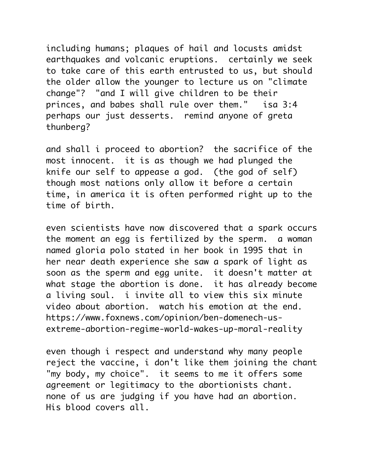including humans; plaques of hail and locusts amidst earthquakes and volcanic eruptions. certainly we seek to take care of this earth entrusted to us, but should the older allow the younger to lecture us on "climate change"? "and I will give children to be their princes, and babes shall rule over them." isa 3:4 perhaps our just desserts. remind anyone of greta thunberg?

and shall i proceed to abortion? the sacrifice of the most innocent. it is as though we had plunged the knife our self to appease a god. (the god of self) though most nations only allow it before a certain time, in america it is often performed right up to the time of birth.

even scientists have now discovered that a spark occurs the moment an egg is fertilized by the sperm. a woman named gloria polo stated in her book in 1995 that in her near death experience she saw a spark of light as soon as the sperm and egg unite. it doesn't matter at what stage the abortion is done. it has already become a living soul. i invite all to view this six minute video about abortion. watch his emotion at the end. https://www.foxnews.com/opinion/ben-domenech-usextreme-abortion-regime-world-wakes-up-moral-reality

even though i respect and understand why many people reject the vaccine, i don't like them joining the chant "my body, my choice". it seems to me it offers some agreement or legitimacy to the abortionists chant. none of us are judging if you have had an abortion. His blood covers all.